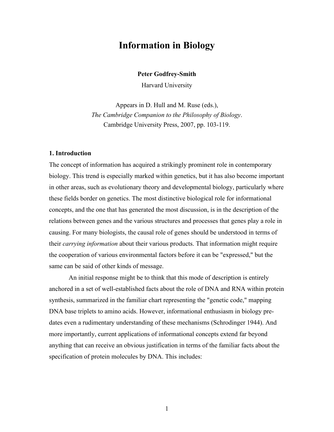# **Information in Biology**

**Peter Godfrey-Smith**

Harvard University

Appears in D. Hull and M. Ruse (eds.), *The Cambridge Companion to the Philosophy of Biology*. Cambridge University Press, 2007, pp. 103-119.

# **1. Introduction**

The concept of information has acquired a strikingly prominent role in contemporary biology. This trend is especially marked within genetics, but it has also become important in other areas, such as evolutionary theory and developmental biology, particularly where these fields border on genetics. The most distinctive biological role for informational concepts, and the one that has generated the most discussion, is in the description of the relations between genes and the various structures and processes that genes play a role in causing. For many biologists, the causal role of genes should be understood in terms of their *carrying information* about their various products. That information might require the cooperation of various environmental factors before it can be "expressed," but the same can be said of other kinds of message.

An initial response might be to think that this mode of description is entirely anchored in a set of well-established facts about the role of DNA and RNA within protein synthesis, summarized in the familiar chart representing the "genetic code," mapping DNA base triplets to amino acids. However, informational enthusiasm in biology predates even a rudimentary understanding of these mechanisms (Schrodinger 1944). And more importantly, current applications of informational concepts extend far beyond anything that can receive an obvious justification in terms of the familiar facts about the specification of protein molecules by DNA. This includes: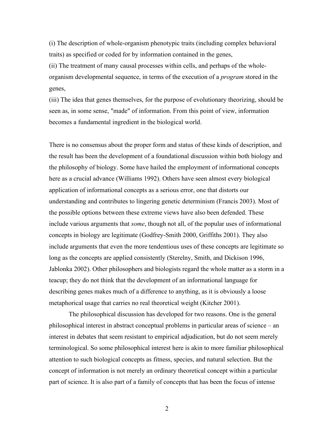(i) The description of whole-organism phenotypic traits (including complex behavioral traits) as specified or coded for by information contained in the genes,

(ii) The treatment of many causal processes within cells, and perhaps of the wholeorganism developmental sequence, in terms of the execution of a *program* stored in the genes,

(iii) The idea that genes themselves, for the purpose of evolutionary theorizing, should be seen as, in some sense, "made" of information. From this point of view, information becomes a fundamental ingredient in the biological world.

There is no consensus about the proper form and status of these kinds of description, and the result has been the development of a foundational discussion within both biology and the philosophy of biology. Some have hailed the employment of informational concepts here as a crucial advance (Williams 1992). Others have seen almost every biological application of informational concepts as a serious error, one that distorts our understanding and contributes to lingering genetic determinism (Francis 2003). Most of the possible options between these extreme views have also been defended. These include various arguments that *some*, though not all, of the popular uses of informational concepts in biology are legitimate (Godfrey-Smith 2000, Griffiths 2001). They also include arguments that even the more tendentious uses of these concepts are legitimate so long as the concepts are applied consistently (Sterelny, Smith, and Dickison 1996, Jablonka 2002). Other philosophers and biologists regard the whole matter as a storm in a teacup; they do not think that the development of an informational language for describing genes makes much of a difference to anything, as it is obviously a loose metaphorical usage that carries no real theoretical weight (Kitcher 2001).

The philosophical discussion has developed for two reasons. One is the general philosophical interest in abstract conceptual problems in particular areas of science – an interest in debates that seem resistant to empirical adjudication, but do not seem merely terminological. So some philosophical interest here is akin to more familiar philosophical attention to such biological concepts as fitness, species, and natural selection. But the concept of information is not merely an ordinary theoretical concept within a particular part of science. It is also part of a family of concepts that has been the focus of intense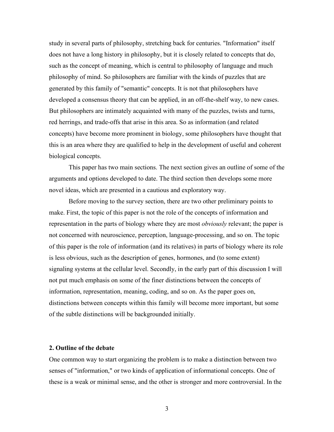study in several parts of philosophy, stretching back for centuries. "Information" itself does not have a long history in philosophy, but it is closely related to concepts that do, such as the concept of meaning, which is central to philosophy of language and much philosophy of mind. So philosophers are familiar with the kinds of puzzles that are generated by this family of "semantic" concepts. It is not that philosophers have developed a consensus theory that can be applied, in an off-the-shelf way, to new cases. But philosophers are intimately acquainted with many of the puzzles, twists and turns, red herrings, and trade-offs that arise in this area. So as information (and related concepts) have become more prominent in biology, some philosophers have thought that this is an area where they are qualified to help in the development of useful and coherent biological concepts.

This paper has two main sections. The next section gives an outline of some of the arguments and options developed to date. The third section then develops some more novel ideas, which are presented in a cautious and exploratory way.

Before moving to the survey section, there are two other preliminary points to make. First, the topic of this paper is not the role of the concepts of information and representation in the parts of biology where they are most *obviously* relevant; the paper is not concerned with neuroscience, perception, language-processing, and so on. The topic of this paper is the role of information (and its relatives) in parts of biology where its role is less obvious, such as the description of genes, hormones, and (to some extent) signaling systems at the cellular level. Secondly, in the early part of this discussion I will not put much emphasis on some of the finer distinctions between the concepts of information, representation, meaning, coding, and so on. As the paper goes on, distinctions between concepts within this family will become more important, but some of the subtle distinctions will be backgrounded initially.

# **2. Outline of the debate**

One common way to start organizing the problem is to make a distinction between two senses of "information," or two kinds of application of informational concepts. One of these is a weak or minimal sense, and the other is stronger and more controversial. In the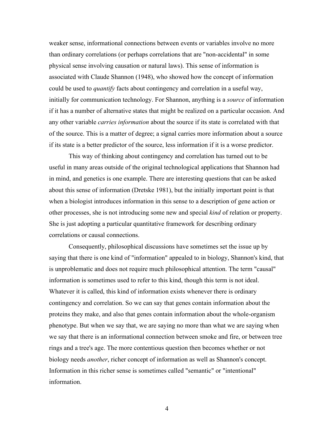weaker sense, informational connections between events or variables involve no more than ordinary correlations (or perhaps correlations that are "non-accidental" in some physical sense involving causation or natural laws). This sense of information is associated with Claude Shannon (1948), who showed how the concept of information could be used to *quantify* facts about contingency and correlation in a useful way, initially for communication technology. For Shannon, anything is a *source* of information if it has a number of alternative states that might be realized on a particular occasion. And any other variable *carries information* about the source if its state is correlated with that of the source. This is a matter of degree; a signal carries more information about a source if its state is a better predictor of the source, less information if it is a worse predictor.

This way of thinking about contingency and correlation has turned out to be useful in many areas outside of the original technological applications that Shannon had in mind, and genetics is one example. There are interesting questions that can be asked about this sense of information (Dretske 1981), but the initially important point is that when a biologist introduces information in this sense to a description of gene action or other processes, she is not introducing some new and special *kind* of relation or property. She is just adopting a particular quantitative framework for describing ordinary correlations or causal connections.

Consequently, philosophical discussions have sometimes set the issue up by saying that there is one kind of "information" appealed to in biology, Shannon's kind, that is unproblematic and does not require much philosophical attention. The term "causal" information is sometimes used to refer to this kind, though this term is not ideal. Whatever it is called, this kind of information exists whenever there is ordinary contingency and correlation. So we can say that genes contain information about the proteins they make, and also that genes contain information about the whole-organism phenotype. But when we say that, we are saying no more than what we are saying when we say that there is an informational connection between smoke and fire, or between tree rings and a tree's age. The more contentious question then becomes whether or not biology needs *another*, richer concept of information as well as Shannon's concept. Information in this richer sense is sometimes called "semantic" or "intentional" information.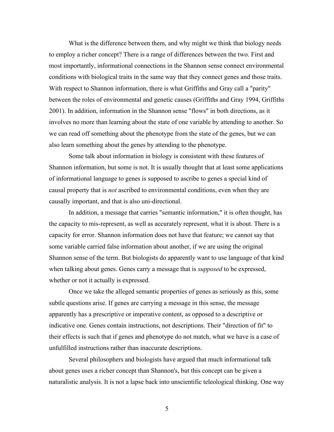What is the difference between them, and why might we think that biology needs to employ a richer concept? There is a range of differences between the two. First and most importantly, informational connections in the Shannon sense connect environmental conditions with biological traits in the same way that they connect genes and those traits. With respect to Shannon information, there is what Griffiths and Gray call a "parity" between the roles of environmental and genetic causes (Griffiths and Gray 1994, Griffiths 2001). In addition, information in the Shannon sense "flows" in both directions, as it involves no more than learning about the state of one variable by attending to another. So we can read off something about the phenotype from the state of the genes, but we can also learn something about the genes by attending to the phenotype.

Some talk about information in biology is consistent with these features of Shannon information, but some is not. It is usually thought that at least some applications of informational language to genes is supposed to ascribe to genes a special kind of causal property that is *not* ascribed to environmental conditions, even when they are causally important, and that is also uni-directional.

In addition, a message that carries "semantic information," it is often thought, has the capacity to mis-represent, as well as accurately represent, what it is about. There is a capacity for error. Shannon information does not have that feature; we cannot say that some variable carried false information about another, if we are using the original Shannon sense of the term. But biologists do apparently want to use language of that kind when talking about genes. Genes carry a message that is *supposed* to be expressed, whether or not it actually is expressed.

Once we take the alleged semantic properties of genes as seriously as this, some subtle questions arise. If genes are carrying a message in this sense, the message apparently has a prescriptive or imperative content, as opposed to a descriptive or indicative one. Genes contain instructions, not descriptions. Their "direction of fit" to their effects is such that if genes and phenotype do not match, what we have is a case of unfulfilled instructions rather than inaccurate descriptions.

Several philosophers and biologists have argued that much informational talk about genes uses a richer concept than Shannon's, but this concept can be given a naturalistic analysis. It is not a lapse back into unscientific teleological thinking. One way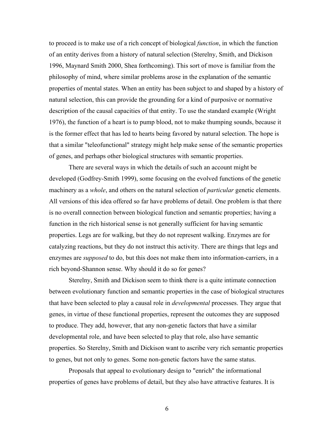to proceed is to make use of a rich concept of biological *function*, in which the function of an entity derives from a history of natural selection (Sterelny, Smith, and Dickison 1996, Maynard Smith 2000, Shea forthcoming). This sort of move is familiar from the philosophy of mind, where similar problems arose in the explanation of the semantic properties of mental states. When an entity has been subject to and shaped by a history of natural selection, this can provide the grounding for a kind of purposive or normative description of the causal capacities of that entity. To use the standard example (Wright 1976), the function of a heart is to pump blood, not to make thumping sounds, because it is the former effect that has led to hearts being favored by natural selection. The hope is that a similar "teleofunctional" strategy might help make sense of the semantic properties of genes, and perhaps other biological structures with semantic properties.

There are several ways in which the details of such an account might be developed (Godfrey-Smith 1999), some focusing on the evolved functions of the genetic machinery as a *whole*, and others on the natural selection of *particular* genetic elements. All versions of this idea offered so far have problems of detail. One problem is that there is no overall connection between biological function and semantic properties; having a function in the rich historical sense is not generally sufficient for having semantic properties. Legs are for walking, but they do not represent walking. Enzymes are for catalyzing reactions, but they do not instruct this activity. There are things that legs and enzymes are *supposed* to do, but this does not make them into information-carriers, in a rich beyond-Shannon sense. Why should it do so for genes?

Sterelny, Smith and Dickison seem to think there is a quite intimate connection between evolutionary function and semantic properties in the case of biological structures that have been selected to play a causal role in *developmental* processes. They argue that genes, in virtue of these functional properties, represent the outcomes they are supposed to produce. They add, however, that any non-genetic factors that have a similar developmental role, and have been selected to play that role, also have semantic properties. So Sterelny, Smith and Dickison want to ascribe very rich semantic properties to genes, but not only to genes. Some non-genetic factors have the same status.

Proposals that appeal to evolutionary design to "enrich" the informational properties of genes have problems of detail, but they also have attractive features. It is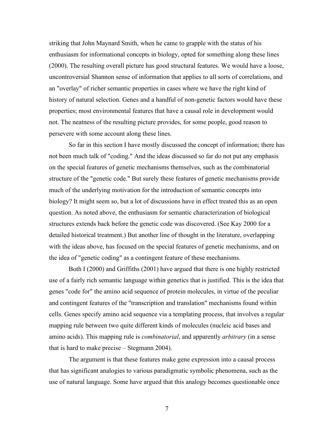striking that John Maynard Smith, when he came to grapple with the status of his enthusiasm for informational concepts in biology, opted for something along these lines (2000). The resulting overall picture has good structural features. We would have a loose, uncontroversial Shannon sense of information that applies to all sorts of correlations, and an "overlay" of richer semantic properties in cases where we have the right kind of history of natural selection. Genes and a handful of non-genetic factors would have these properties; most environmental features that have a causal role in development would not. The neatness of the resulting picture provides, for some people, good reason to persevere with some account along these lines.

So far in this section I have mostly discussed the concept of information; there has not been much talk of "coding." And the ideas discussed so far do not put any emphasis on the special features of genetic mechanisms themselves, such as the combinatorial structure of the "genetic code." But surely these features of genetic mechanisms provide much of the underlying motivation for the introduction of semantic concepts into biology? It might seem so, but a lot of discussions have in effect treated this as an open question. As noted above, the enthusiasm for semantic characterization of biological structures extends back before the genetic code was discovered. (See Kay 2000 for a detailed historical treatment.) But another line of thought in the literature, overlapping with the ideas above, has focused on the special features of genetic mechanisms, and on the idea of "genetic coding" as a contingent feature of these mechanisms.

Both I (2000) and Griffiths (2001) have argued that there is one highly restricted use of a fairly rich semantic language within genetics that is justified. This is the idea that genes "code for" the amino acid sequence of protein molecules, in virtue of the peculiar and contingent features of the "transcription and translation" mechanisms found within cells. Genes specify amino acid sequence via a templating process, that involves a regular mapping rule between two quite different kinds of molecules (nucleic acid bases and amino acids). This mapping rule is *combinatorial*, and apparently *arbitrary* (in a sense that is hard to make precise – Stegmann 2004).

The argument is that these features make gene expression into a causal process that has significant analogies to various paradigmatic symbolic phenomena, such as the use of natural language. Some have argued that this analogy becomes questionable once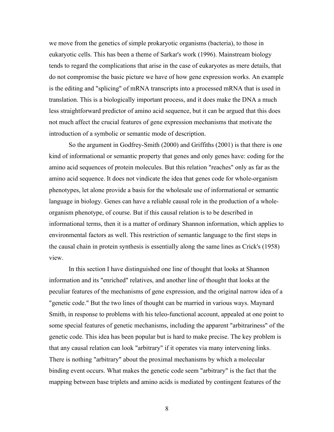we move from the genetics of simple prokaryotic organisms (bacteria), to those in eukaryotic cells. This has been a theme of Sarkar's work (1996). Mainstream biology tends to regard the complications that arise in the case of eukaryotes as mere details, that do not compromise the basic picture we have of how gene expression works. An example is the editing and "splicing" of mRNA transcripts into a processed mRNA that is used in translation. This is a biologically important process, and it does make the DNA a much less straightforward predictor of amino acid sequence, but it can be argued that this does not much affect the crucial features of gene expression mechanisms that motivate the introduction of a symbolic or semantic mode of description.

So the argument in Godfrey-Smith (2000) and Griffiths (2001) is that there is one kind of informational or semantic property that genes and only genes have: coding for the amino acid sequences of protein molecules. But this relation "reaches" only as far as the amino acid sequence. It does not vindicate the idea that genes code for whole-organism phenotypes, let alone provide a basis for the wholesale use of informational or semantic language in biology. Genes can have a reliable causal role in the production of a wholeorganism phenotype, of course. But if this causal relation is to be described in informational terms, then it is a matter of ordinary Shannon information, which applies to environmental factors as well. This restriction of semantic language to the first steps in the causal chain in protein synthesis is essentially along the same lines as Crick's (1958) view.

In this section I have distinguished one line of thought that looks at Shannon information and its "enriched" relatives, and another line of thought that looks at the peculiar features of the mechanisms of gene expression, and the original narrow idea of a "genetic code." But the two lines of thought can be married in various ways. Maynard Smith, in response to problems with his teleo-functional account, appealed at one point to some special features of genetic mechanisms, including the apparent "arbitrariness" of the genetic code. This idea has been popular but is hard to make precise. The key problem is that any causal relation can look "arbitrary" if it operates via many intervening links. There is nothing "arbitrary" about the proximal mechanisms by which a molecular binding event occurs. What makes the genetic code seem "arbitrary" is the fact that the mapping between base triplets and amino acids is mediated by contingent features of the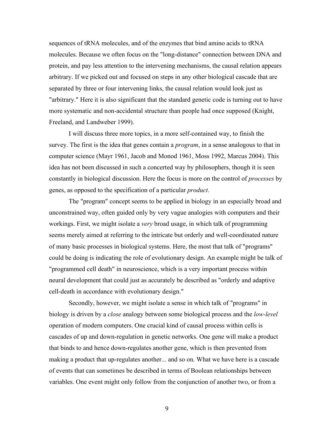sequences of tRNA molecules, and of the enzymes that bind amino acids to tRNA molecules. Because we often focus on the "long-distance" connection between DNA and protein, and pay less attention to the intervening mechanisms, the causal relation appears arbitrary. If we picked out and focused on steps in any other biological cascade that are separated by three or four intervening links, the causal relation would look just as "arbitrary." Here it is also significant that the standard genetic code is turning out to have more systematic and non-accidental structure than people had once supposed (Knight, Freeland, and Landweber 1999).

I will discuss three more topics, in a more self-contained way, to finish the survey. The first is the idea that genes contain a *program*, in a sense analogous to that in computer science (Mayr 1961, Jacob and Monod 1961, Moss 1992, Marcus 2004). This idea has not been discussed in such a concerted way by philosophers, though it is seen constantly in biological discussion. Here the focus is more on the control of *processes* by genes, as opposed to the specification of a particular *product*.

The "program" concept seems to be applied in biology in an especially broad and unconstrained way, often guided only by very vague analogies with computers and their workings. First, we might isolate a *very* broad usage, in which talk of programming seems merely aimed at referring to the intricate but orderly and well-coordinated nature of many basic processes in biological systems. Here, the most that talk of "programs" could be doing is indicating the role of evolutionary design. An example might be talk of "programmed cell death" in neuroscience, which is a very important process within neural development that could just as accurately be described as "orderly and adaptive cell-death in accordance with evolutionary design."

Secondly, however, we might isolate a sense in which talk of "programs" in biology is driven by a *close* analogy between some biological process and the *low-level* operation of modern computers. One crucial kind of causal process within cells is cascades of up and down-regulation in genetic networks. One gene will make a product that binds to and hence down-regulates another gene, which is then prevented from making a product that up-regulates another... and so on. What we have here is a cascade of events that can sometimes be described in terms of Boolean relationships between variables. One event might only follow from the conjunction of another two, or from a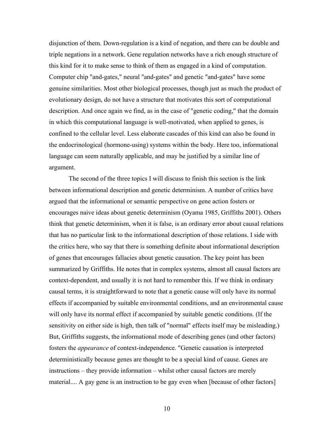disjunction of them. Down-regulation is a kind of negation, and there can be double and triple negations in a network. Gene regulation networks have a rich enough structure of this kind for it to make sense to think of them as engaged in a kind of computation. Computer chip "and-gates," neural "and-gates" and genetic "and-gates" have some genuine similarities. Most other biological processes, though just as much the product of evolutionary design, do not have a structure that motivates this sort of computational description. And once again we find, as in the case of "genetic coding," that the domain in which this computational language is well-motivated, when applied to genes, is confined to the cellular level. Less elaborate cascades of this kind can also be found in the endocrinological (hormone-using) systems within the body. Here too, informational language can seem naturally applicable, and may be justified by a similar line of argument.

The second of the three topics I will discuss to finish this section is the link between informational description and genetic determinism. A number of critics have argued that the informational or semantic perspective on gene action fosters or encourages naive ideas about genetic determinism (Oyama 1985, Griffiths 2001). Others think that genetic determinism, when it is false, is an ordinary error about causal relations that has no particular link to the informational description of those relations. I side with the critics here, who say that there is something definite about informational description of genes that encourages fallacies about genetic causation. The key point has been summarized by Griffiths. He notes that in complex systems, almost all causal factors are context-dependent, and usually it is not hard to remember this. If we think in ordinary causal terms, it is straightforward to note that a genetic cause will only have its normal effects if accompanied by suitable environmental conditions, and an environmental cause will only have its normal effect if accompanied by suitable genetic conditions. (If the sensitivity on either side is high, then talk of "normal" effects itself may be misleading.) But, Griffiths suggests, the informational mode of describing genes (and other factors) fosters the *appearance* of context-independence. "Genetic causation is interpreted deterministically because genes are thought to be a special kind of cause. Genes are instructions – they provide information – whilst other causal factors are merely material.... A gay gene is an instruction to be gay even when [because of other factors]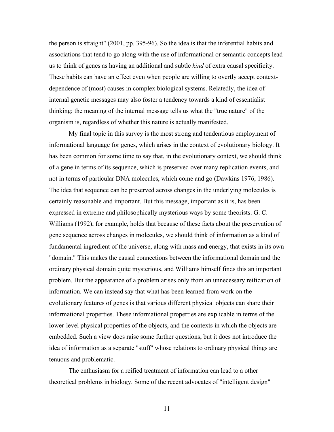the person is straight" (2001, pp. 395-96). So the idea is that the inferential habits and associations that tend to go along with the use of informational or semantic concepts lead us to think of genes as having an additional and subtle *kind* of extra causal specificity. These habits can have an effect even when people are willing to overtly accept contextdependence of (most) causes in complex biological systems. Relatedly, the idea of internal genetic messages may also foster a tendency towards a kind of essentialist thinking; the meaning of the internal message tells us what the "true nature" of the organism is, regardless of whether this nature is actually manifested.

My final topic in this survey is the most strong and tendentious employment of informational language for genes, which arises in the context of evolutionary biology. It has been common for some time to say that, in the evolutionary context, we should think of a gene in terms of its sequence, which is preserved over many replication events, and not in terms of particular DNA molecules, which come and go (Dawkins 1976, 1986). The idea that sequence can be preserved across changes in the underlying molecules is certainly reasonable and important. But this message, important as it is, has been expressed in extreme and philosophically mysterious ways by some theorists. G. C. Williams (1992), for example, holds that because of these facts about the preservation of gene sequence across changes in molecules, we should think of information as a kind of fundamental ingredient of the universe, along with mass and energy, that exists in its own "domain." This makes the causal connections between the informational domain and the ordinary physical domain quite mysterious, and Williams himself finds this an important problem. But the appearance of a problem arises only from an unnecessary reification of information. We can instead say that what has been learned from work on the evolutionary features of genes is that various different physical objects can share their informational properties. These informational properties are explicable in terms of the lower-level physical properties of the objects, and the contexts in which the objects are embedded. Such a view does raise some further questions, but it does not introduce the idea of information as a separate "stuff" whose relations to ordinary physical things are tenuous and problematic.

The enthusiasm for a reified treatment of information can lead to a other theoretical problems in biology. Some of the recent advocates of "intelligent design"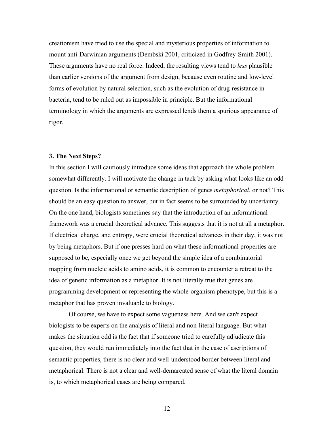creationism have tried to use the special and mysterious properties of information to mount anti-Darwinian arguments (Dembski 2001, criticized in Godfrey-Smith 2001). These arguments have no real force. Indeed, the resulting views tend to *less* plausible than earlier versions of the argument from design, because even routine and low-level forms of evolution by natural selection, such as the evolution of drug-resistance in bacteria, tend to be ruled out as impossible in principle. But the informational terminology in which the arguments are expressed lends them a spurious appearance of rigor.

#### **3. The Next Steps?**

In this section I will cautiously introduce some ideas that approach the whole problem somewhat differently. I will motivate the change in tack by asking what looks like an odd question. Is the informational or semantic description of genes *metaphorical*, or not? This should be an easy question to answer, but in fact seems to be surrounded by uncertainty. On the one hand, biologists sometimes say that the introduction of an informational framework was a crucial theoretical advance. This suggests that it is not at all a metaphor. If electrical charge, and entropy, were crucial theoretical advances in their day, it was not by being metaphors. But if one presses hard on what these informational properties are supposed to be, especially once we get beyond the simple idea of a combinatorial mapping from nucleic acids to amino acids, it is common to encounter a retreat to the idea of genetic information as a metaphor. It is not literally true that genes are programming development or representing the whole-organism phenotype, but this is a metaphor that has proven invaluable to biology.

Of course, we have to expect some vagueness here. And we can't expect biologists to be experts on the analysis of literal and non-literal language. But what makes the situation odd is the fact that if someone tried to carefully adjudicate this question, they would run immediately into the fact that in the case of ascriptions of semantic properties, there is no clear and well-understood border between literal and metaphorical. There is not a clear and well-demarcated sense of what the literal domain is, to which metaphorical cases are being compared.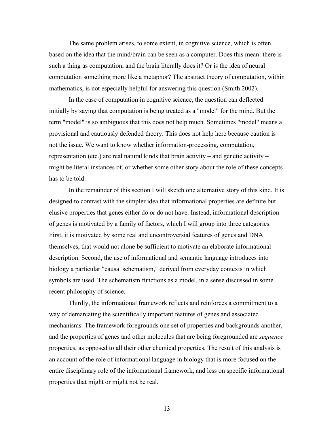The same problem arises, to some extent, in cognitive science, which is often based on the idea that the mind/brain can be seen as a computer. Does this mean: there is such a thing as computation, and the brain literally does it? Or is the idea of neural computation something more like a metaphor? The abstract theory of computation, within mathematics, is not especially helpful for answering this question (Smith 2002).

In the case of computation in cognitive science, the question can deflected initially by saying that computation is being treated as a "model" for the mind. But the term "model" is so ambiguous that this does not help much. Sometimes "model" means a provisional and cautiously defended theory. This does not help here because caution is not the issue. We want to know whether information-processing, computation, representation (etc.) are real natural kinds that brain activity – and genetic activity – might be literal instances of, or whether some other story about the role of these concepts has to be told.

In the remainder of this section I will sketch one alternative story of this kind. It is designed to contrast with the simpler idea that informational properties are definite but elusive properties that genes either do or do not have. Instead, informational description of genes is motivated by a family of factors, which I will group into three categories. First, it is motivated by some real and uncontroversial features of genes and DNA themselves, that would not alone be sufficient to motivate an elaborate informational description. Second, the use of informational and semantic language introduces into biology a particular "causal schematism," derived from everyday contexts in which symbols are used. The schematism functions as a model, in a sense discussed in some recent philosophy of science.

Thirdly, the informational framework reflects and reinforces a commitment to a way of demarcating the scientifically important features of genes and associated mechanisms. The framework foregrounds one set of properties and backgrounds another, and the properties of genes and other molecules that are being foregrounded are *sequence* properties, as opposed to all their other chemical properties. The result of this analysis is an account of the role of informational language in biology that is more focused on the entire disciplinary role of the informational framework, and less on specific informational properties that might or might not be real.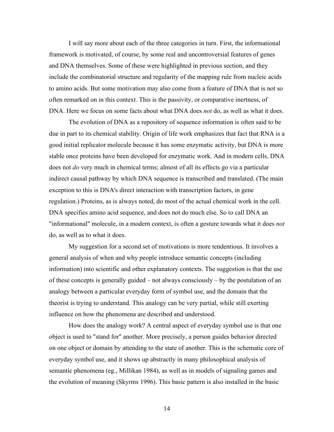I will say more about each of the three categories in turn. First, the informational framework is motivated, of course, by some real and uncontroversial features of genes and DNA themselves. Some of these were highlighted in previous section, and they include the combinatorial structure and regularity of the mapping rule from nucleic acids to amino acids. But some motivation may also come from a feature of DNA that is not so often remarked on in this context. This is the passivity, or comparative inertness, of DNA. Here we focus on some facts about what DNA does *not* do, as well as what it does.

The evolution of DNA as a repository of sequence information is often said to be due in part to its chemical stability. Origin of life work emphasizes that fact that RNA is a good initial replicator molecule because it has some enzymatic activity, but DNA is more stable once proteins have been developed for enzymatic work. And in modern cells, DNA does not *do* very much in chemical terms; almost of all its effects go via a particular indirect causal pathway by which DNA sequence is transcribed and translated. (The main exception to this is DNA's direct interaction with transcription factors, in gene regulation.) Proteins, as is always noted, do most of the actual chemical work in the cell. DNA specifies amino acid sequence, and does not do much else. So to call DNA an "informational" molecule, in a modern context, is often a gesture towards what it does *not* do, as well as to what it does.

My suggestion for a second set of motivations is more tendentious. It involves a general analysis of when and why people introduce semantic concepts (including information) into scientific and other explanatory contexts. The suggestion is that the use of these concepts is generally guided – not always consciously – by the postulation of an analogy between a particular everyday form of symbol use, and the domain that the theorist is trying to understand. This analogy can be very partial, while still exerting influence on how the phenomena are described and understood.

How does the analogy work? A central aspect of everyday symbol use is that one object is used to "stand for" another. More precisely, a person guides behavior directed on one object or domain by attending to the state of another. This is the schematic core of everyday symbol use, and it shows up abstractly in many philosophical analysis of semantic phenomena (eg., Millikan 1984), as well as in models of signaling games and the evolution of meaning (Skyrms 1996). This basic pattern is also installed in the basic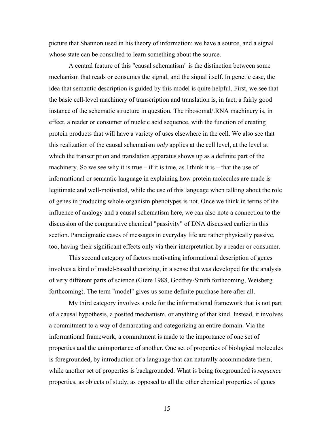picture that Shannon used in his theory of information: we have a source, and a signal whose state can be consulted to learn something about the source.

A central feature of this "causal schematism" is the distinction between some mechanism that reads or consumes the signal, and the signal itself. In genetic case, the idea that semantic description is guided by this model is quite helpful. First, we see that the basic cell-level machinery of transcription and translation is, in fact, a fairly good instance of the schematic structure in question. The ribosomal/tRNA machinery is, in effect, a reader or consumer of nucleic acid sequence, with the function of creating protein products that will have a variety of uses elsewhere in the cell. We also see that this realization of the causal schematism *only* applies at the cell level, at the level at which the transcription and translation apparatus shows up as a definite part of the machinery. So we see why it is true – if it is true, as I think it is – that the use of informational or semantic language in explaining how protein molecules are made is legitimate and well-motivated, while the use of this language when talking about the role of genes in producing whole-organism phenotypes is not. Once we think in terms of the influence of analogy and a causal schematism here, we can also note a connection to the discussion of the comparative chemical "passivity" of DNA discussed earlier in this section. Paradigmatic cases of messages in everyday life are rather physically passive, too, having their significant effects only via their interpretation by a reader or consumer.

This second category of factors motivating informational description of genes involves a kind of model-based theorizing, in a sense that was developed for the analysis of very different parts of science (Giere 1988, Godfrey-Smith forthcoming, Weisberg forthcoming). The term "model" gives us some definite purchase here after all.

My third category involves a role for the informational framework that is not part of a causal hypothesis, a posited mechanism, or anything of that kind. Instead, it involves a commitment to a way of demarcating and categorizing an entire domain. Via the informational framework, a commitment is made to the importance of one set of properties and the unimportance of another. One set of properties of biological molecules is foregrounded, by introduction of a language that can naturally accommodate them, while another set of properties is backgrounded. What is being foregrounded is *sequence* properties, as objects of study, as opposed to all the other chemical properties of genes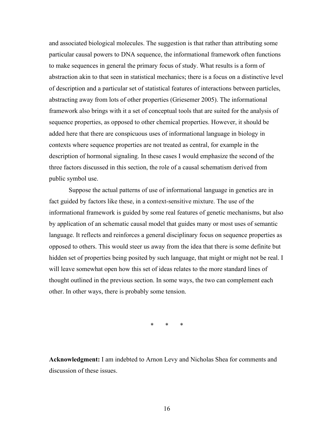and associated biological molecules. The suggestion is that rather than attributing some particular causal powers to DNA sequence, the informational framework often functions to make sequences in general the primary focus of study. What results is a form of abstraction akin to that seen in statistical mechanics; there is a focus on a distinctive level of description and a particular set of statistical features of interactions between particles, abstracting away from lots of other properties (Griesemer 2005). The informational framework also brings with it a set of conceptual tools that are suited for the analysis of sequence properties, as opposed to other chemical properties. However, it should be added here that there are conspicuous uses of informational language in biology in contexts where sequence properties are not treated as central, for example in the description of hormonal signaling. In these cases I would emphasize the second of the three factors discussed in this section, the role of a causal schematism derived from public symbol use.

Suppose the actual patterns of use of informational language in genetics are in fact guided by factors like these, in a context-sensitive mixture. The use of the informational framework is guided by some real features of genetic mechanisms, but also by application of an schematic causal model that guides many or most uses of semantic language. It reflects and reinforces a general disciplinary focus on sequence properties as opposed to others. This would steer us away from the idea that there is some definite but hidden set of properties being posited by such language, that might or might not be real. I will leave somewhat open how this set of ideas relates to the more standard lines of thought outlined in the previous section. In some ways, the two can complement each other. In other ways, there is probably some tension.

\* \* \*

**Acknowledgment:** I am indebted to Arnon Levy and Nicholas Shea for comments and discussion of these issues.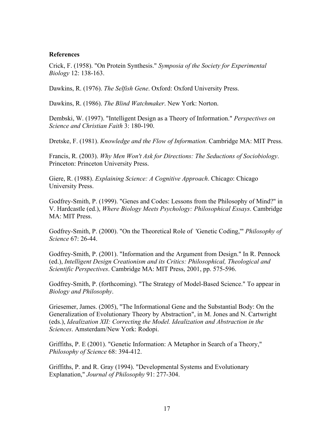# **References**

Crick, F. (1958). "On Protein Synthesis." *Symposia of the Society for Experimental Biology* 12: 138-163.

Dawkins, R. (1976). *The Selfish Gene*. Oxford: Oxford University Press.

Dawkins, R. (1986). *The Blind Watchmaker*. New York: Norton.

Dembski, W. (1997). "Intelligent Design as a Theory of Information." *Perspectives on Science and Christian Faith* 3: 180-190.

Dretske, F. (1981). *Knowledge and the Flow of Information.* Cambridge MA: MIT Press.

Francis, R. (2003). *Why Men Won't Ask for Directions: The Seductions of Sociobiology*. Princeton: Princeton University Press.

Giere, R. (1988). *Explaining Science: A Cognitive Approach*. Chicago: Chicago University Press.

Godfrey-Smith, P. (1999). "Genes and Codes: Lessons from the Philosophy of Mind?" in V. Hardcastle (ed.), *Where Biology Meets Psychology: Philosophical Essays*. Cambridge MA: MIT Press.

Godfrey-Smith, P. (2000). "On the Theoretical Role of 'Genetic Coding,'" *Philosophy of Science* 67: 26-44.

Godfrey-Smith, P. (2001). "Information and the Argument from Design." In R. Pennock (ed.), *Intelligent Design Creationism and its Critics: Philosophical, Theological and Scientific Perspectives*. Cambridge MA: MIT Press, 2001, pp. 575-596.

Godfrey-Smith, P. (forthcoming). "The Strategy of Model-Based Science." To appear in *Biology and Philosophy*.

Griesemer, James. (2005), "The Informational Gene and the Substantial Body: On the Generalization of Evolutionary Theory by Abstraction", in M. Jones and N. Cartwright (eds.), *Idealization XII: Correcting the Model. Idealization and Abstraction in the Sciences*. Amsterdam/New York: Rodopi.

Griffiths, P. E (2001). "Genetic Information: A Metaphor in Search of a Theory," *Philosophy of Science* 68: 394-412.

Griffiths, P. and R. Gray (1994). "Developmental Systems and Evolutionary Explanation," *Journal of Philosophy* 91: 277-304.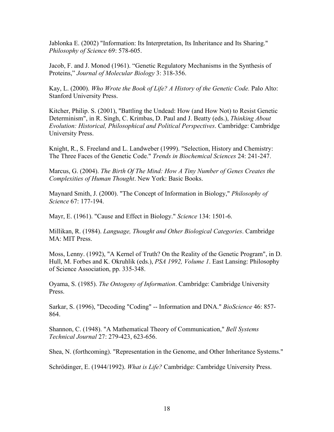Jablonka E. (2002) "Information: Its Interpretation, Its Inheritance and Its Sharing." *Philosophy of Science* 69: 578-605.

Jacob, F. and J. Monod (1961). "Genetic Regulatory Mechanisms in the Synthesis of Proteins," *Journal of Molecular Biology* 3: 318-356.

Kay, L. (2000). *Who Wrote the Book of Life? A History of the Genetic Code.* Palo Alto: Stanford University Press.

Kitcher, Philip. S. (2001), "Battling the Undead: How (and How Not) to Resist Genetic Determinism", in R. Singh, C. Krimbas, D. Paul and J. Beatty (eds.), *Thinking About Evolution: Historical, Philosophical and Political Perspectives*. Cambridge: Cambridge University Press.

Knight, R., S. Freeland and L. Landweber (1999). "Selection, History and Chemistry: The Three Faces of the Genetic Code." *Trends in Biochemical Sciences* 24: 241-247.

Marcus, G. (2004). *The Birth Of The Mind: How A Tiny Number of Genes Creates the Complexities of Human Thought*. New York: Basic Books.

Maynard Smith, J. (2000). "The Concept of Information in Biology," *Philosophy of Science* 67: 177-194.

Mayr, E. (1961). "Cause and Effect in Biology." *Science* 134: 1501-6.

Millikan, R. (1984). *Language, Thought and Other Biological Categories*. Cambridge MA: MIT Press.

Moss, Lenny. (1992), "A Kernel of Truth? On the Reality of the Genetic Program", in D. Hull, M. Forbes and K. Okruhlik (eds.), *PSA 1992, Volume 1*. East Lansing: Philosophy of Science Association, pp. 335-348.

Oyama, S. (1985). *The Ontogeny of Information*. Cambridge: Cambridge University Press.

Sarkar, S. (1996), "Decoding "Coding" -- Information and DNA." *BioScience* 46: 857- 864.

Shannon, C. (1948). "A Mathematical Theory of Communication," *Bell Systems Technical Journal* 27: 279-423, 623-656.

Shea, N. (forthcoming). "Representation in the Genome, and Other Inheritance Systems."

Schrödinger, E. (1944/1992). *What is Life?* Cambridge: Cambridge University Press.